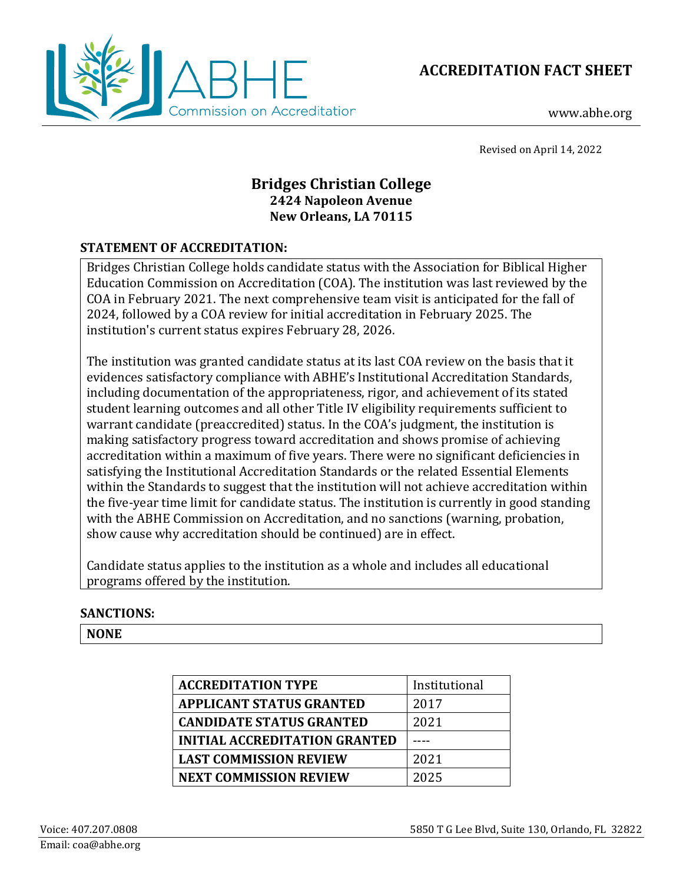



www.abhe.org

Revised on April 14, 2022

# **Bridges Christian College 2424 Napoleon Avenue New Orleans, LA 70115**

## **STATEMENT OF ACCREDITATION:**

Bridges Christian College holds candidate status with the Association for Biblical Higher Education Commission on Accreditation (COA). The institution was last reviewed by the COA in February 2021. The next comprehensive team visit is anticipated for the fall of 2024, followed by a COA review for initial accreditation in February 2025. The institution's current status expires February 28, 2026.

The institution was granted candidate status at its last COA review on the basis that it evidences satisfactory compliance with ABHE's Institutional Accreditation Standards, including documentation of the appropriateness, rigor, and achievement of its stated student learning outcomes and all other Title IV eligibility requirements sufficient to warrant candidate (preaccredited) status. In the COA's judgment, the institution is making satisfactory progress toward accreditation and shows promise of achieving accreditation within a maximum of five years. There were no significant deficiencies in satisfying the Institutional Accreditation Standards or the related Essential Elements within the Standards to suggest that the institution will not achieve accreditation within the five-year time limit for candidate status. The institution is currently in good standing with the ABHE Commission on Accreditation, and no sanctions (warning, probation, show cause why accreditation should be continued) are in effect.

Candidate status applies to the institution as a whole and includes all educational programs offered by the institution.

## **SANCTIONS:**

**NONE**

| <b>ACCREDITATION TYPE</b>            | Institutional |
|--------------------------------------|---------------|
| <b>APPLICANT STATUS GRANTED</b>      | 2017          |
| <b>CANDIDATE STATUS GRANTED</b>      | 2021          |
| <b>INITIAL ACCREDITATION GRANTED</b> |               |
| <b>LAST COMMISSION REVIEW</b>        | 2021          |
| <b>NEXT COMMISSION REVIEW</b>        | 2025          |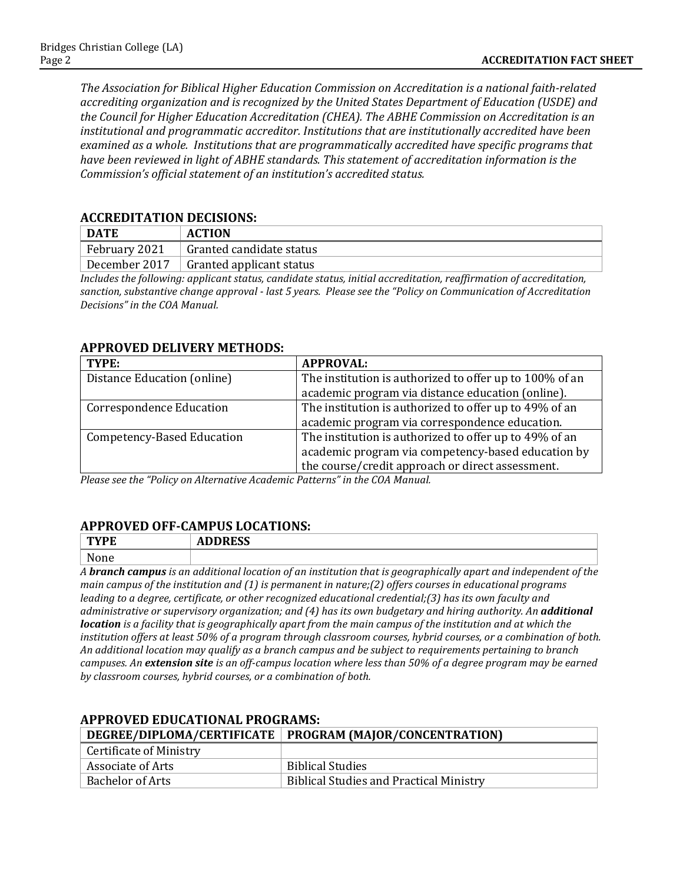*The Association for Biblical Higher Education Commission on Accreditation is a national faith-related accrediting organization and is recognized by the United States Department of Education (USDE) and the Council for Higher Education Accreditation (CHEA). The ABHE Commission on Accreditation is an institutional and programmatic accreditor. Institutions that are institutionally accredited have been examined as a whole. Institutions that are programmatically accredited have specific programs that have been reviewed in light of ABHE standards. This statement of accreditation information is the Commission's official statement of an institution's accredited status.*

#### **ACCREDITATION DECISIONS:**

| DATE          | <b>ACTION</b>            |
|---------------|--------------------------|
| February 2021 | Granted candidate status |
| December 2017 | Granted applicant status |

*Includes the following: applicant status, candidate status, initial accreditation, reaffirmation of accreditation, sanction, substantive change approval - last 5 years. Please see the "Policy on Communication of Accreditation Decisions" in the COA Manual.*

#### **APPROVED DELIVERY METHODS:**

| TYPE:                             | <b>APPROVAL:</b>                                        |
|-----------------------------------|---------------------------------------------------------|
| Distance Education (online)       | The institution is authorized to offer up to 100% of an |
|                                   | academic program via distance education (online).       |
| <b>Correspondence Education</b>   | The institution is authorized to offer up to 49% of an  |
|                                   | academic program via correspondence education.          |
| <b>Competency-Based Education</b> | The institution is authorized to offer up to 49% of an  |
|                                   | academic program via competency-based education by      |
|                                   | the course/credit approach or direct assessment.        |

*Please see the "Policy on Alternative Academic Patterns" in the COA Manual.*

#### **APPROVED OFF-CAMPUS LOCATIONS:**

| T <sub>1</sub><br>YFE<br>. .<br>---- | <b>DRRFCC</b><br>ADDREJJ |
|--------------------------------------|--------------------------|
| None<br>______                       |                          |

*A branch campus is an additional location of an institution that is geographically apart and independent of the main campus of the institution and (1) is permanent in nature;(2) offers courses in educational programs leading to a degree, certificate, or other recognized educational credential;(3) has its own faculty and administrative or supervisory organization; and (4) has its own budgetary and hiring authority. An additional location is a facility that is geographically apart from the main campus of the institution and at which the institution offers at least 50% of a program through classroom courses, hybrid courses, or a combination of both. An additional location may qualify as a branch campus and be subject to requirements pertaining to branch campuses. An extension site is an off-campus location where less than 50% of a degree program may be earned by classroom courses, hybrid courses, or a combination of both.*

## **DEGREE/DIPLOMA/CERTIFICATE PROGRAM (MAJOR/CONCENTRATION)** Certificate of Ministry Associate of Arts<br>
Biblical Studies<br>
Bachelor of Arts<br>
Biblical Studies Biblical Studies and Practical Ministry

#### **APPROVED EDUCATIONAL PROGRAMS:**